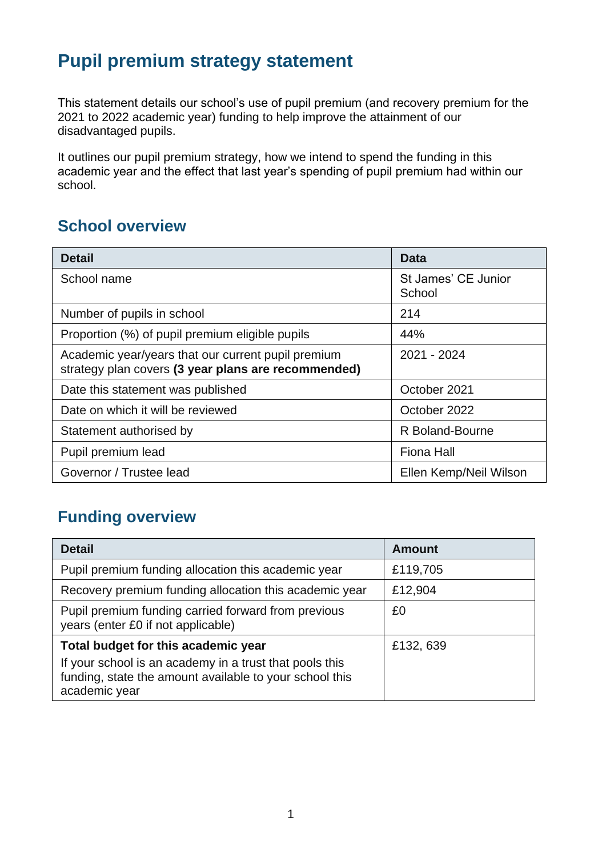# **Pupil premium strategy statement**

This statement details our school's use of pupil premium (and recovery premium for the 2021 to 2022 academic year) funding to help improve the attainment of our disadvantaged pupils.

It outlines our pupil premium strategy, how we intend to spend the funding in this academic year and the effect that last year's spending of pupil premium had within our school.

### **School overview**

| <b>Detail</b>                                                                                             | Data                          |
|-----------------------------------------------------------------------------------------------------------|-------------------------------|
| School name                                                                                               | St James' CE Junior<br>School |
| Number of pupils in school                                                                                | 214                           |
| Proportion (%) of pupil premium eligible pupils                                                           | 44%                           |
| Academic year/years that our current pupil premium<br>strategy plan covers (3 year plans are recommended) | 2021 - 2024                   |
| Date this statement was published                                                                         | October 2021                  |
| Date on which it will be reviewed                                                                         | October 2022                  |
| Statement authorised by                                                                                   | R Boland-Bourne               |
| Pupil premium lead                                                                                        | <b>Fiona Hall</b>             |
| Governor / Trustee lead                                                                                   | Ellen Kemp/Neil Wilson        |

### **Funding overview**

| <b>Detail</b>                                                                                                                       | <b>Amount</b> |
|-------------------------------------------------------------------------------------------------------------------------------------|---------------|
| Pupil premium funding allocation this academic year                                                                                 | £119,705      |
| Recovery premium funding allocation this academic year                                                                              | £12,904       |
| Pupil premium funding carried forward from previous<br>years (enter £0 if not applicable)                                           | £0            |
| Total budget for this academic year                                                                                                 | £132, 639     |
| If your school is an academy in a trust that pools this<br>funding, state the amount available to your school this<br>academic year |               |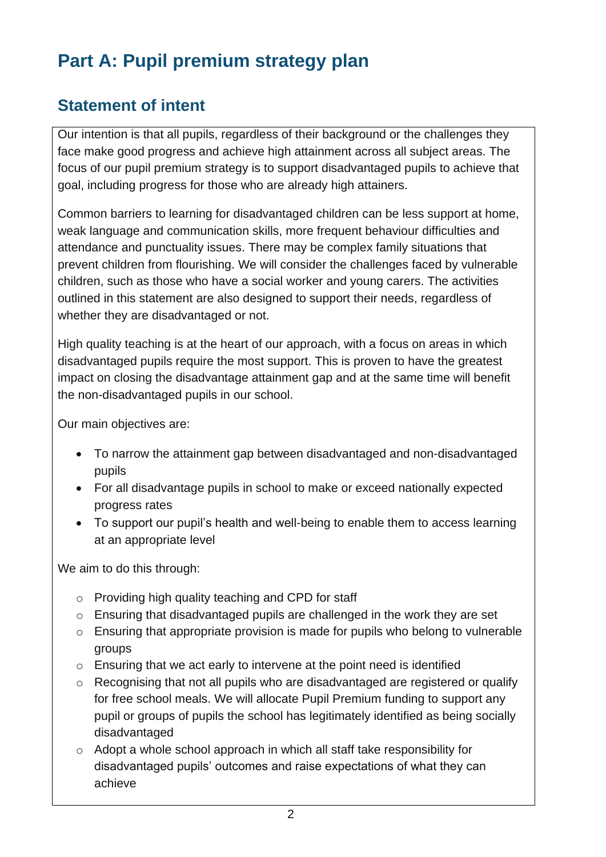# **Part A: Pupil premium strategy plan**

### **Statement of intent**

Our intention is that all pupils, regardless of their background or the challenges they face make good progress and achieve high attainment across all subject areas. The focus of our pupil premium strategy is to support disadvantaged pupils to achieve that goal, including progress for those who are already high attainers.

Common barriers to learning for disadvantaged children can be less support at home, weak language and communication skills, more frequent behaviour difficulties and attendance and punctuality issues. There may be complex family situations that prevent children from flourishing. We will consider the challenges faced by vulnerable children, such as those who have a social worker and young carers. The activities outlined in this statement are also designed to support their needs, regardless of whether they are disadvantaged or not.

High quality teaching is at the heart of our approach, with a focus on areas in which disadvantaged pupils require the most support. This is proven to have the greatest impact on closing the disadvantage attainment gap and at the same time will benefit the non-disadvantaged pupils in our school.

Our main objectives are:

- To narrow the attainment gap between disadvantaged and non-disadvantaged pupils
- For all disadvantage pupils in school to make or exceed nationally expected progress rates
- To support our pupil's health and well-being to enable them to access learning at an appropriate level

We aim to do this through:

- o Providing high quality teaching and CPD for staff
- o Ensuring that disadvantaged pupils are challenged in the work they are set
- o Ensuring that appropriate provision is made for pupils who belong to vulnerable groups
- o Ensuring that we act early to intervene at the point need is identified
- o Recognising that not all pupils who are disadvantaged are registered or qualify for free school meals. We will allocate Pupil Premium funding to support any pupil or groups of pupils the school has legitimately identified as being socially disadvantaged
- o Adopt a whole school approach in which all staff take responsibility for disadvantaged pupils' outcomes and raise expectations of what they can achieve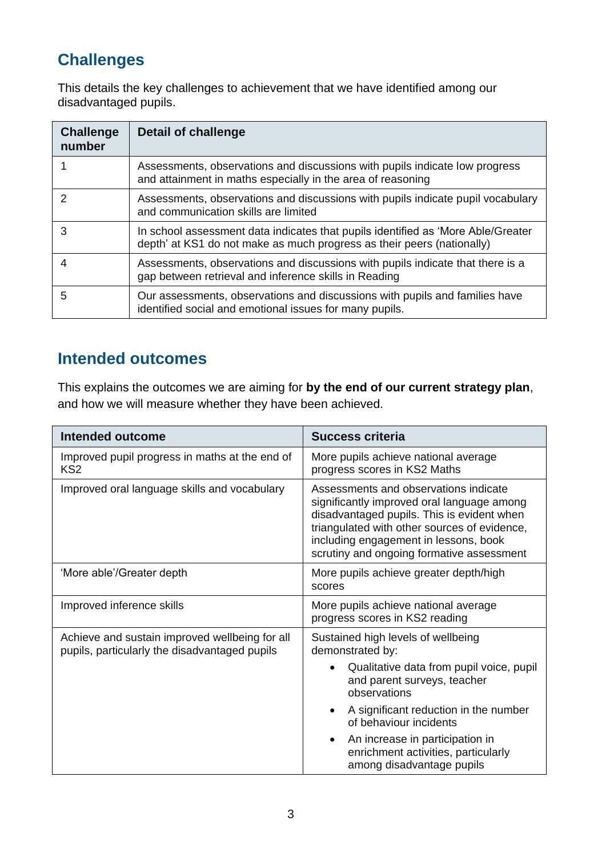### **Challenges**

This details the key challenges to achievement that we have identified among our disadvantaged pupils.

| <b>Challenge</b><br>number | Detail of challenge                                                                                                                                        |
|----------------------------|------------------------------------------------------------------------------------------------------------------------------------------------------------|
|                            | Assessments, observations and discussions with pupils indicate low progress<br>and attainment in maths especially in the area of reasoning                 |
|                            | Assessments, observations and discussions with pupils indicate pupil vocabulary<br>and communication skills are limited                                    |
| 3                          | In school assessment data indicates that pupils identified as 'More Able/Greater<br>depth' at KS1 do not make as much progress as their peers (nationally) |
| 4                          | Assessments, observations and discussions with pupils indicate that there is a<br>gap between retrieval and inference skills in Reading                    |
| 5                          | Our assessments, observations and discussions with pupils and families have<br>identified social and emotional issues for many pupils.                     |

#### **Intended outcomes**

This explains the outcomes we are aiming for **by the end of our current strategy plan**, and how we will measure whether they have been achieved.

| <b>Intended outcome</b>                                                                         | Success criteria                                                                                                                                                                                                                                                        |  |
|-------------------------------------------------------------------------------------------------|-------------------------------------------------------------------------------------------------------------------------------------------------------------------------------------------------------------------------------------------------------------------------|--|
| Improved pupil progress in maths at the end of<br>KS <sub>2</sub>                               | More pupils achieve national average<br>progress scores in KS2 Maths                                                                                                                                                                                                    |  |
| Improved oral language skills and vocabulary                                                    | Assessments and observations indicate<br>significantly improved oral language among<br>disadvantaged pupils. This is evident when<br>triangulated with other sources of evidence,<br>including engagement in lessons, book<br>scrutiny and ongoing formative assessment |  |
| 'More able'/Greater depth                                                                       | More pupils achieve greater depth/high<br>scores                                                                                                                                                                                                                        |  |
| Improved inference skills                                                                       | More pupils achieve national average<br>progress scores in KS2 reading                                                                                                                                                                                                  |  |
| Achieve and sustain improved wellbeing for all<br>pupils, particularly the disadvantaged pupils | Sustained high levels of wellbeing<br>demonstrated by:                                                                                                                                                                                                                  |  |
|                                                                                                 | Qualitative data from pupil voice, pupil<br>and parent surveys, teacher<br>observations                                                                                                                                                                                 |  |
|                                                                                                 | A significant reduction in the number<br>of behaviour incidents                                                                                                                                                                                                         |  |
|                                                                                                 | An increase in participation in<br>$\bullet$<br>enrichment activities, particularly<br>among disadvantage pupils                                                                                                                                                        |  |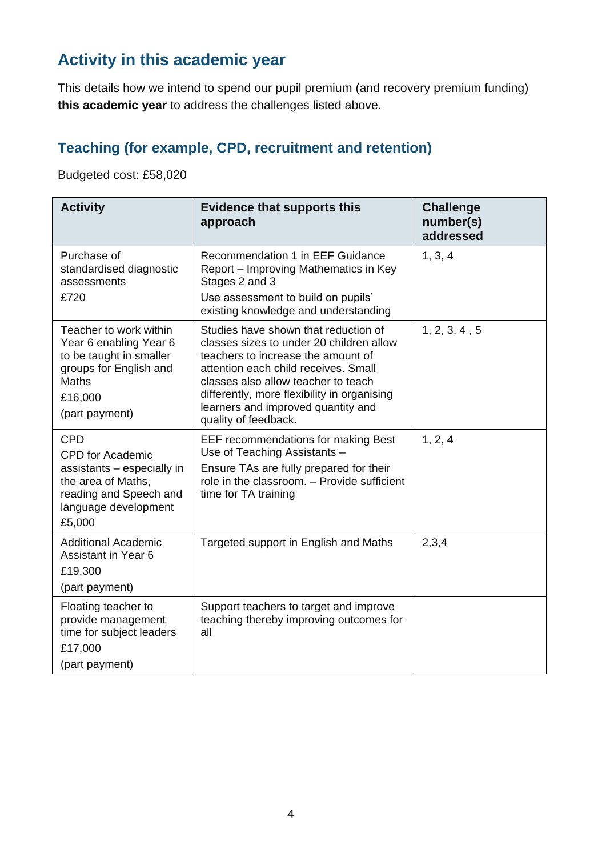### **Activity in this academic year**

This details how we intend to spend our pupil premium (and recovery premium funding) **this academic year** to address the challenges listed above.

#### **Teaching (for example, CPD, recruitment and retention)**

Budgeted cost: £58,020

| <b>Activity</b>                                                                                                                                       | <b>Evidence that supports this</b><br>approach                                                                                                                                                                                                                                                                     | <b>Challenge</b><br>number(s)<br>addressed |
|-------------------------------------------------------------------------------------------------------------------------------------------------------|--------------------------------------------------------------------------------------------------------------------------------------------------------------------------------------------------------------------------------------------------------------------------------------------------------------------|--------------------------------------------|
| Purchase of<br>standardised diagnostic<br>assessments<br>£720                                                                                         | Recommendation 1 in EEF Guidance<br>Report – Improving Mathematics in Key<br>Stages 2 and 3<br>Use assessment to build on pupils'<br>existing knowledge and understanding                                                                                                                                          | 1, 3, 4                                    |
| Teacher to work within<br>Year 6 enabling Year 6<br>to be taught in smaller<br>groups for English and<br><b>Maths</b><br>£16,000<br>(part payment)    | Studies have shown that reduction of<br>classes sizes to under 20 children allow<br>teachers to increase the amount of<br>attention each child receives. Small<br>classes also allow teacher to teach<br>differently, more flexibility in organising<br>learners and improved quantity and<br>quality of feedback. | 1, 2, 3, 4, 5                              |
| <b>CPD</b><br><b>CPD</b> for Academic<br>assistants - especially in<br>the area of Maths,<br>reading and Speech and<br>language development<br>£5,000 | EEF recommendations for making Best<br>Use of Teaching Assistants -<br>Ensure TAs are fully prepared for their<br>role in the classroom. - Provide sufficient<br>time for TA training                                                                                                                              | 1, 2, 4                                    |
| <b>Additional Academic</b><br>Assistant in Year 6<br>£19,300<br>(part payment)                                                                        | Targeted support in English and Maths                                                                                                                                                                                                                                                                              | 2,3,4                                      |
| Floating teacher to<br>provide management<br>time for subject leaders<br>£17,000<br>(part payment)                                                    | Support teachers to target and improve<br>teaching thereby improving outcomes for<br>all                                                                                                                                                                                                                           |                                            |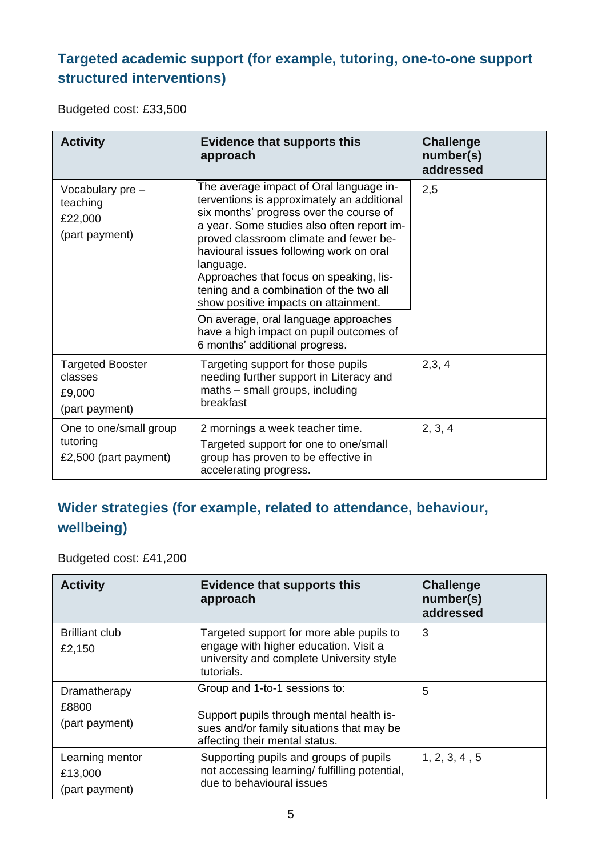#### **Targeted academic support (for example, tutoring, one-to-one support structured interventions)**

Budgeted cost: £33,500

| <b>Activity</b>                                                | <b>Evidence that supports this</b><br>approach                                                                                                                                                                                                                                                                                                                                                                                                                                                                                      | <b>Challenge</b><br>number(s)<br>addressed |
|----------------------------------------------------------------|-------------------------------------------------------------------------------------------------------------------------------------------------------------------------------------------------------------------------------------------------------------------------------------------------------------------------------------------------------------------------------------------------------------------------------------------------------------------------------------------------------------------------------------|--------------------------------------------|
| Vocabulary pre -<br>teaching<br>£22,000<br>(part payment)      | The average impact of Oral language in-<br>terventions is approximately an additional<br>six months' progress over the course of<br>a year. Some studies also often report im-<br>proved classroom climate and fewer be-<br>havioural issues following work on oral<br>language.<br>Approaches that focus on speaking, lis-<br>tening and a combination of the two all<br>show positive impacts on attainment.<br>On average, oral language approaches<br>have a high impact on pupil outcomes of<br>6 months' additional progress. | 2,5                                        |
| <b>Targeted Booster</b><br>classes<br>£9,000<br>(part payment) | Targeting support for those pupils<br>needing further support in Literacy and<br>maths - small groups, including<br>breakfast                                                                                                                                                                                                                                                                                                                                                                                                       | 2,3,4                                      |
| One to one/small group<br>tutoring<br>£2,500 (part payment)    | 2 mornings a week teacher time.<br>Targeted support for one to one/small<br>group has proven to be effective in<br>accelerating progress.                                                                                                                                                                                                                                                                                                                                                                                           | 2, 3, 4                                    |

#### **Wider strategies (for example, related to attendance, behaviour, wellbeing)**

Budgeted cost: £41,200

| <b>Activity</b>                              | <b>Evidence that supports this</b><br>approach                                                                                                           | <b>Challenge</b><br>number(s)<br>addressed |
|----------------------------------------------|----------------------------------------------------------------------------------------------------------------------------------------------------------|--------------------------------------------|
| <b>Brilliant club</b><br>£2,150              | Targeted support for more able pupils to<br>engage with higher education. Visit a<br>university and complete University style<br>tutorials.              | 3                                          |
| Dramatherapy<br>£8800<br>(part payment)      | Group and 1-to-1 sessions to:<br>Support pupils through mental health is-<br>sues and/or family situations that may be<br>affecting their mental status. | 5                                          |
| Learning mentor<br>£13,000<br>(part payment) | Supporting pupils and groups of pupils<br>not accessing learning/ fulfilling potential,<br>due to behavioural issues                                     | 1, 2, 3, 4, 5                              |